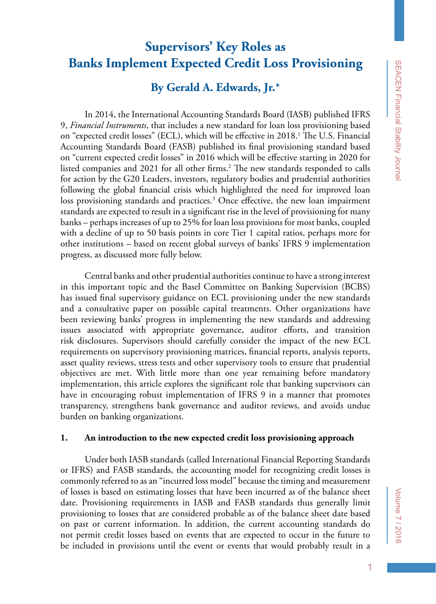# **Supervisors' Key Roles as Banks Implement Expected Credit Loss Provisioning**

# **By Gerald A. Edwards, Jr.\***

In 2014, the International Accounting Standards Board (IASB) published IFRS 9, *Financial Instruments*, that includes a new standard for loan loss provisioning based on "expected credit losses" (ECL), which will be effective in 2018.<sup>1</sup> The U.S. Financial Accounting Standards Board (FASB) published its final provisioning standard based on "current expected credit losses" in 2016 which will be effective starting in 2020 for listed companies and 2021 for all other firms.<sup>2</sup> The new standards responded to calls for action by the G20 Leaders, investors, regulatory bodies and prudential authorities following the global financial crisis which highlighted the need for improved loan loss provisioning standards and practices.<sup>3</sup> Once effective, the new loan impairment standards are expected to result in a significant rise in the level of provisioning for many banks – perhaps increases of up to 25% for loan loss provisions for most banks, coupled with a decline of up to 50 basis points in core Tier 1 capital ratios, perhaps more for other institutions – based on recent global surveys of banks' IFRS 9 implementation progress, as discussed more fully below.

Central banks and other prudential authorities continue to have a strong interest in this important topic and the Basel Committee on Banking Supervision (BCBS) has issued final supervisory guidance on ECL provisioning under the new standards and a consultative paper on possible capital treatments. Other organizations have been reviewing banks' progress in implementing the new standards and addressing issues associated with appropriate governance, auditor efforts, and transition risk disclosures. Supervisors should carefully consider the impact of the new ECL requirements on supervisory provisioning matrices, financial reports, analysis reports, asset quality reviews, stress tests and other supervisory tools to ensure that prudential objectives are met. With little more than one year remaining before mandatory implementation, this article explores the significant role that banking supervisors can have in encouraging robust implementation of IFRS 9 in a manner that promotes transparency, strengthens bank governance and auditor reviews, and avoids undue burden on banking organizations.

### **1. An introduction to the new expected credit loss provisioning approach**

Under both IASB standards (called International Financial Reporting Standards or IFRS) and FASB standards, the accounting model for recognizing credit losses is commonly referred to as an "incurred loss model" because the timing and measurement of losses is based on estimating losses that have been incurred as of the balance sheet date. Provisioning requirements in IASB and FASB standards thus generally limit provisioning to losses that are considered probable as of the balance sheet date based on past or current information. In addition, the current accounting standards do not permit credit losses based on events that are expected to occur in the future to be included in provisions until the event or events that would probably result in a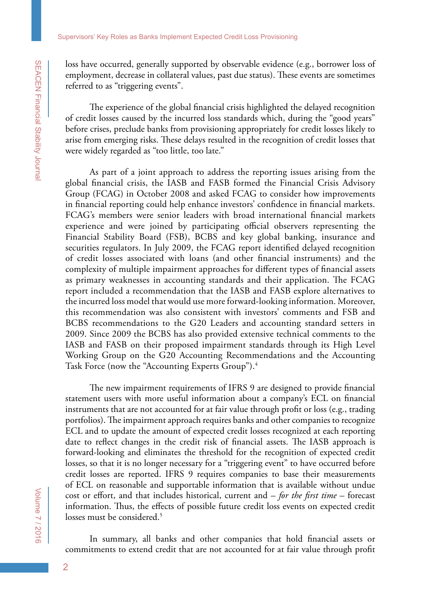loss have occurred, generally supported by observable evidence (e.g., borrower loss of employment, decrease in collateral values, past due status). These events are sometimes referred to as "triggering events".

The experience of the global financial crisis highlighted the delayed recognition of credit losses caused by the incurred loss standards which, during the "good years" before crises, preclude banks from provisioning appropriately for credit losses likely to arise from emerging risks. These delays resulted in the recognition of credit losses that were widely regarded as "too little, too late."

As part of a joint approach to address the reporting issues arising from the global financial crisis, the IASB and FASB formed the Financial Crisis Advisory Group (FCAG) in October 2008 and asked FCAG to consider how improvements in financial reporting could help enhance investors' confidence in financial markets. FCAG's members were senior leaders with broad international financial markets experience and were joined by participating official observers representing the Financial Stability Board (FSB), BCBS and key global banking, insurance and securities regulators. In July 2009, the FCAG report identified delayed recognition of credit losses associated with loans (and other financial instruments) and the complexity of multiple impairment approaches for different types of financial assets as primary weaknesses in accounting standards and their application. The FCAG report included a recommendation that the IASB and FASB explore alternatives to the incurred loss model that would use more forward-looking information. Moreover, this recommendation was also consistent with investors' comments and FSB and BCBS recommendations to the G20 Leaders and accounting standard setters in 2009. Since 2009 the BCBS has also provided extensive technical comments to the IASB and FASB on their proposed impairment standards through its High Level Working Group on the G20 Accounting Recommendations and the Accounting Task Force (now the "Accounting Experts Group").<sup>4</sup>

The new impairment requirements of IFRS 9 are designed to provide financial statement users with more useful information about a company's ECL on financial instruments that are not accounted for at fair value through profit or loss (e.g., trading portfolios). The impairment approach requires banks and other companies to recognize ECL and to update the amount of expected credit losses recognized at each reporting date to reflect changes in the credit risk of financial assets. The IASB approach is forward-looking and eliminates the threshold for the recognition of expected credit losses, so that it is no longer necessary for a "triggering event" to have occurred before credit losses are reported. IFRS 9 requires companies to base their measurements of ECL on reasonable and supportable information that is available without undue cost or effort, and that includes historical, current and – *for the first time* – forecast information. Thus, the effects of possible future credit loss events on expected credit losses must be considered.<sup>5</sup>

In summary, all banks and other companies that hold financial assets or commitments to extend credit that are not accounted for at fair value through profit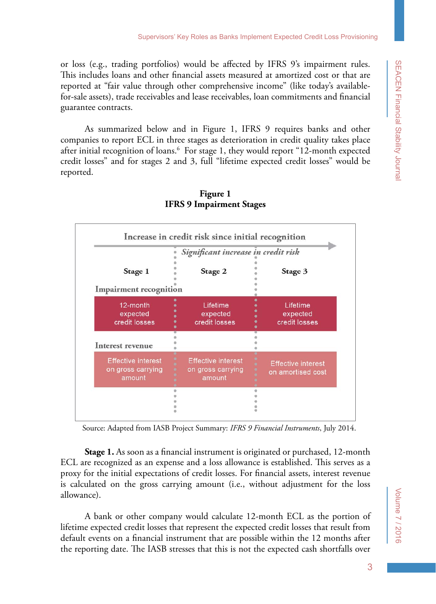or loss (e.g., trading portfolios) would be affected by IFRS 9's impairment rules. This includes loans and other financial assets measured at amortized cost or that are reported at "fair value through other comprehensive income" (like today's availablefor-sale assets), trade receivables and lease receivables, loan commitments and financial guarantee contracts.

As summarized below and in Figure 1, IFRS 9 requires banks and other companies to report ECL in three stages as deterioration in credit quality takes place after initial recognition of loans.<sup>6</sup> For stage 1, they would report "12-month expected credit losses" and for stages 2 and 3, full "lifetime expected credit losses" would be reported.



### **Figure 1 IFRS 9 Impairment Stages**

Source: Adapted from IASB Project Summary: *IFRS 9 Financial Instruments*, July 2014.

**Stage 1.** As soon as a financial instrument is originated or purchased, 12-month ECL are recognized as an expense and a loss allowance is established. This serves as a proxy for the initial expectations of credit losses. For financial assets, interest revenue is calculated on the gross carrying amount (i.e., without adjustment for the loss allowance).

A bank or other company would calculate 12-month ECL as the portion of lifetime expected credit losses that represent the expected credit losses that result from default events on a financial instrument that are possible within the 12 months after the reporting date. The IASB stresses that this is not the expected cash shortfalls over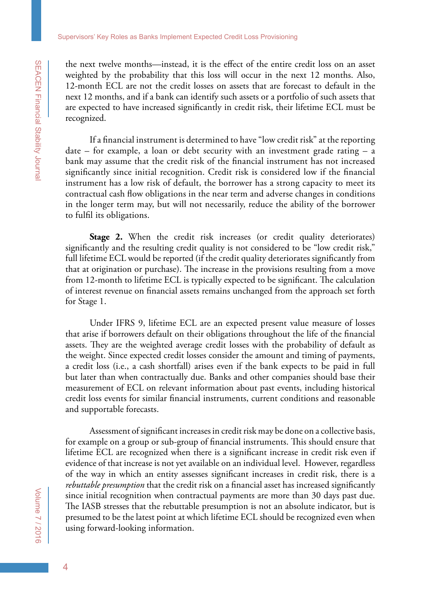the next twelve months—instead, it is the effect of the entire credit loss on an asset weighted by the probability that this loss will occur in the next 12 months. Also, 12-month ECL are not the credit losses on assets that are forecast to default in the next 12 months, and if a bank can identify such assets or a portfolio of such assets that are expected to have increased significantly in credit risk, their lifetime ECL must be recognized.

If a financial instrument is determined to have "low credit risk" at the reporting date – for example, a loan or debt security with an investment grade rating – a bank may assume that the credit risk of the financial instrument has not increased significantly since initial recognition. Credit risk is considered low if the financial instrument has a low risk of default, the borrower has a strong capacity to meet its contractual cash flow obligations in the near term and adverse changes in conditions in the longer term may, but will not necessarily, reduce the ability of the borrower to fulfil its obligations.

**Stage 2.** When the credit risk increases (or credit quality deteriorates) significantly and the resulting credit quality is not considered to be "low credit risk," full lifetime ECL would be reported (if the credit quality deteriorates significantly from that at origination or purchase). The increase in the provisions resulting from a move from 12-month to lifetime ECL is typically expected to be significant. The calculation of interest revenue on financial assets remains unchanged from the approach set forth for Stage 1.

Under IFRS 9, lifetime ECL are an expected present value measure of losses that arise if borrowers default on their obligations throughout the life of the financial assets. They are the weighted average credit losses with the probability of default as the weight. Since expected credit losses consider the amount and timing of payments, a credit loss (i.e., a cash shortfall) arises even if the bank expects to be paid in full but later than when contractually due. Banks and other companies should base their measurement of ECL on relevant information about past events, including historical credit loss events for similar financial instruments, current conditions and reasonable and supportable forecasts.

Assessment of significant increases in credit risk may be done on a collective basis, for example on a group or sub-group of financial instruments. This should ensure that lifetime ECL are recognized when there is a significant increase in credit risk even if evidence of that increase is not yet available on an individual level. However, regardless of the way in which an entity assesses significant increases in credit risk, there is a *rebuttable presumption* that the credit risk on a financial asset has increased significantly since initial recognition when contractual payments are more than 30 days past due. The IASB stresses that the rebuttable presumption is not an absolute indicator, but is presumed to be the latest point at which lifetime ECL should be recognized even when using forward-looking information.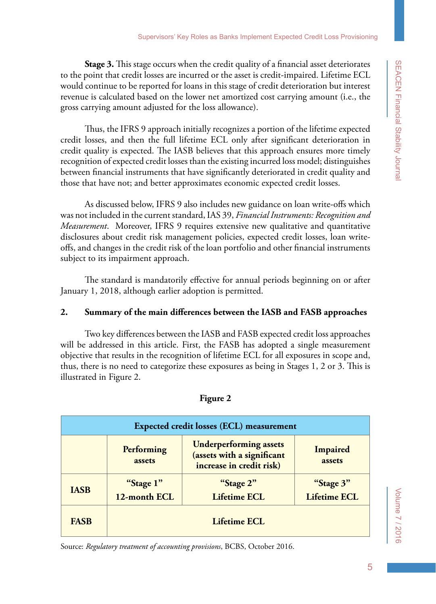**Stage 3.** This stage occurs when the credit quality of a financial asset deteriorates to the point that credit losses are incurred or the asset is credit-impaired. Lifetime ECL would continue to be reported for loans in this stage of credit deterioration but interest revenue is calculated based on the lower net amortized cost carrying amount (i.e., the gross carrying amount adjusted for the loss allowance).

Thus, the IFRS 9 approach initially recognizes a portion of the lifetime expected credit losses, and then the full lifetime ECL only after significant deterioration in credit quality is expected. The IASB believes that this approach ensures more timely recognition of expected credit losses than the existing incurred loss model; distinguishes between financial instruments that have significantly deteriorated in credit quality and those that have not; and better approximates economic expected credit losses.

As discussed below, IFRS 9 also includes new guidance on loan write-offs which was not included in the current standard, IAS 39, *Financial Instruments: Recognition and Measurement*. Moreover, IFRS 9 requires extensive new qualitative and quantitative disclosures about credit risk management policies, expected credit losses, loan writeoffs, and changes in the credit risk of the loan portfolio and other financial instruments subject to its impairment approach.

The standard is mandatorily effective for annual periods beginning on or after January 1, 2018, although earlier adoption is permitted.

### **2. Summary of the main differences between the IASB and FASB approaches**

Two key differences between the IASB and FASB expected credit loss approaches will be addressed in this article. First, the FASB has adopted a single measurement objective that results in the recognition of lifetime ECL for all exposures in scope and, thus, there is no need to categorize these exposures as being in Stages 1, 2 or 3. This is illustrated in Figure 2.

| <b>Expected credit losses (ECL) measurement</b> |                      |                                                                                         |                     |  |  |  |
|-------------------------------------------------|----------------------|-----------------------------------------------------------------------------------------|---------------------|--|--|--|
|                                                 | Performing<br>assets | <b>Underperforming assets</b><br>(assets with a significant<br>increase in credit risk) | Impaired<br>assets  |  |  |  |
| <b>IASB</b>                                     | "Stage 1"            | "Stage 2"                                                                               | "Stage 3"           |  |  |  |
|                                                 | 12-month ECL         | <b>Lifetime ECL</b>                                                                     | <b>Lifetime ECL</b> |  |  |  |
| <b>FASB</b>                                     | Lifetime ECL         |                                                                                         |                     |  |  |  |

#### **Figure 2**

Source: *Regulatory treatment of accounting provisions*, BCBS, October 2016.

Volume 7 / 2016

/olume 7 / 2016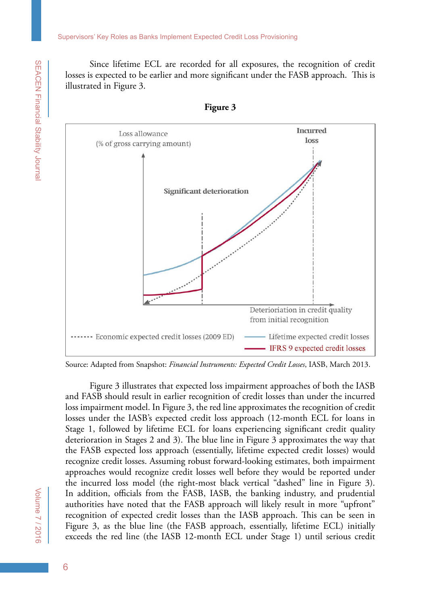Since lifetime ECL are recorded for all exposures, the recognition of credit losses is expected to be earlier and more significant under the FASB approach. This is illustrated in Figure 3.



**Figure 3**

Source: Adapted from Snapshot: *Financial Instruments: Expected Credit Losses*, IASB, March 2013.

Figure 3 illustrates that expected loss impairment approaches of both the IASB and FASB should result in earlier recognition of credit losses than under the incurred loss impairment model. In Figure 3, the red line approximates the recognition of credit losses under the IASB's expected credit loss approach (12-month ECL for loans in Stage 1, followed by lifetime ECL for loans experiencing significant credit quality deterioration in Stages 2 and 3). The blue line in Figure 3 approximates the way that the FASB expected loss approach (essentially, lifetime expected credit losses) would recognize credit losses. Assuming robust forward-looking estimates, both impairment approaches would recognize credit losses well before they would be reported under the incurred loss model (the right-most black vertical "dashed" line in Figure 3). In addition, officials from the FASB, IASB, the banking industry, and prudential authorities have noted that the FASB approach will likely result in more "upfront" recognition of expected credit losses than the IASB approach. This can be seen in Figure 3, as the blue line (the FASB approach, essentially, lifetime ECL) initially exceeds the red line (the IASB 12-month ECL under Stage 1) until serious credit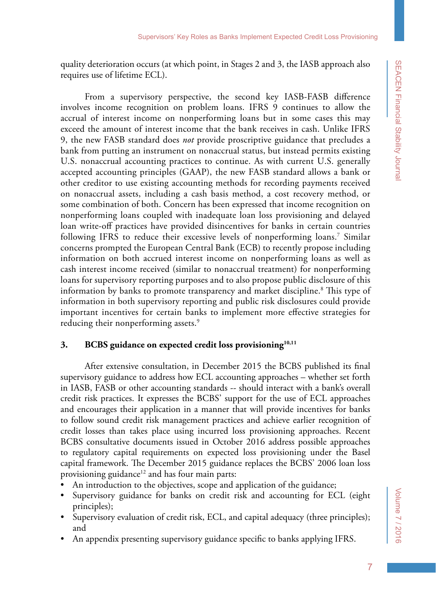quality deterioration occurs (at which point, in Stages 2 and 3, the IASB approach also requires use of lifetime ECL).

From a supervisory perspective, the second key IASB-FASB difference involves income recognition on problem loans. IFRS 9 continues to allow the accrual of interest income on nonperforming loans but in some cases this may exceed the amount of interest income that the bank receives in cash. Unlike IFRS 9, the new FASB standard does *not* provide proscriptive guidance that precludes a bank from putting an instrument on nonaccrual status, but instead permits existing U.S. nonaccrual accounting practices to continue. As with current U.S. generally accepted accounting principles (GAAP), the new FASB standard allows a bank or other creditor to use existing accounting methods for recording payments received on nonaccrual assets, including a cash basis method, a cost recovery method, or some combination of both. Concern has been expressed that income recognition on nonperforming loans coupled with inadequate loan loss provisioning and delayed loan write-off practices have provided disincentives for banks in certain countries following IFRS to reduce their excessive levels of nonperforming loans.<sup>7</sup> Similar concerns prompted the European Central Bank (ECB) to recently propose including information on both accrued interest income on nonperforming loans as well as cash interest income received (similar to nonaccrual treatment) for nonperforming loans for supervisory reporting purposes and to also propose public disclosure of this information by banks to promote transparency and market discipline.<sup>8</sup> This type of information in both supervisory reporting and public risk disclosures could provide important incentives for certain banks to implement more effective strategies for reducing their nonperforming assets.<sup>9</sup>

### **3. BCBS guidance on expected credit loss provisioning10,11**

After extensive consultation, in December 2015 the BCBS published its final supervisory guidance to address how ECL accounting approaches – whether set forth in IASB, FASB or other accounting standards -- should interact with a bank's overall credit risk practices. It expresses the BCBS' support for the use of ECL approaches and encourages their application in a manner that will provide incentives for banks to follow sound credit risk management practices and achieve earlier recognition of credit losses than takes place using incurred loss provisioning approaches. Recent BCBS consultative documents issued in October 2016 address possible approaches to regulatory capital requirements on expected loss provisioning under the Basel capital framework. The December 2015 guidance replaces the BCBS' 2006 loan loss provisioning guidance<sup>12</sup> and has four main parts:

- An introduction to the objectives, scope and application of the guidance;
- Supervisory guidance for banks on credit risk and accounting for ECL (eight principles);
- Supervisory evaluation of credit risk, ECL, and capital adequacy (three principles); and
- An appendix presenting supervisory guidance specific to banks applying IFRS.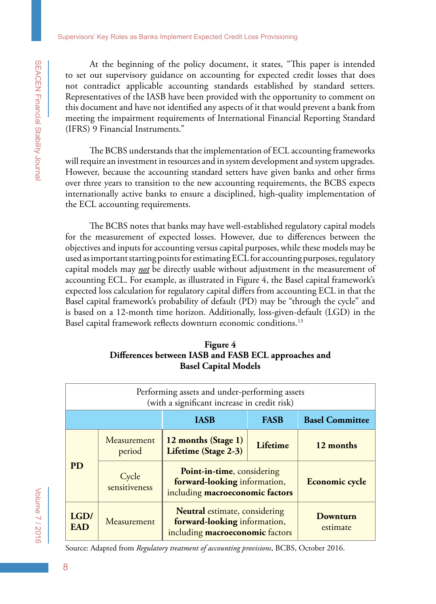At the beginning of the policy document, it states, "This paper is intended to set out supervisory guidance on accounting for expected credit losses that does not contradict applicable accounting standards established by standard setters. Representatives of the IASB have been provided with the opportunity to comment on this document and have not identified any aspects of it that would prevent a bank from meeting the impairment requirements of International Financial Reporting Standard (IFRS) 9 Financial Instruments."

The BCBS understands that the implementation of ECL accounting frameworks will require an investment in resources and in system development and system upgrades. However, because the accounting standard setters have given banks and other firms over three years to transition to the new accounting requirements, the BCBS expects internationally active banks to ensure a disciplined, high-quality implementation of the ECL accounting requirements.

The BCBS notes that banks may have well-established regulatory capital models for the measurement of expected losses. However, due to differences between the objectives and inputs for accounting versus capital purposes, while these models may be used as important starting points for estimating ECL for accounting purposes, regulatory capital models may *not* be directly usable without adjustment in the measurement of accounting ECL. For example, as illustrated in Figure 4, the Basel capital framework's expected loss calculation for regulatory capital differs from accounting ECL in that the Basel capital framework's probability of default (PD) may be "through the cycle" and is based on a 12-month time horizon. Additionally, loss-given-default (LGD) in the Basel capital framework reflects downturn economic conditions.<sup>13</sup>

| Figure 4                                             |
|------------------------------------------------------|
| Differences between IASB and FASB ECL approaches and |
| <b>Basel Capital Models</b>                          |

| Performing assets and under-performing assets<br>(with a significant increase in credit risk) |                        |                                                                                                         |             |                        |  |  |  |
|-----------------------------------------------------------------------------------------------|------------------------|---------------------------------------------------------------------------------------------------------|-------------|------------------------|--|--|--|
|                                                                                               |                        | <b>IASB</b>                                                                                             | <b>FASB</b> | <b>Basel Committee</b> |  |  |  |
| <b>PD</b>                                                                                     | Measurement<br>period  | 12 months (Stage 1)<br>Lifetime (Stage 2-3)                                                             | Lifetime    | 12 months              |  |  |  |
|                                                                                               | Cycle<br>sensitiveness | Point-in-time, considering<br>forward-looking information,<br>including macroeconomic factors           |             | <b>Economic cycle</b>  |  |  |  |
| LGD/<br><b>EAD</b>                                                                            | Measurement            | <b>Neutral</b> estimate, considering<br>forward-looking information,<br>including macroeconomic factors |             | Downturn<br>estimate   |  |  |  |

Source: Adapted from *Regulatory treatment of accounting provisions*, BCBS, October 2016.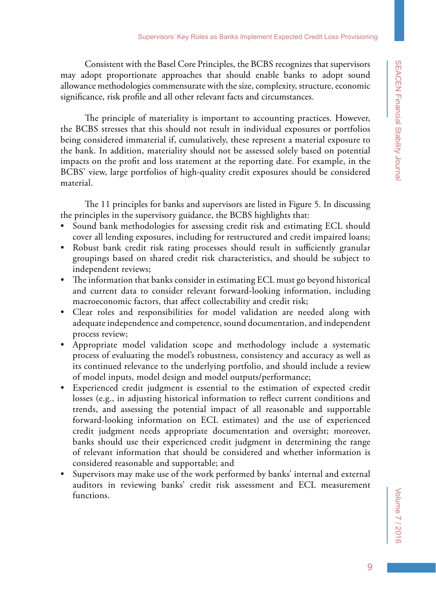Consistent with the Basel Core Principles, the BCBS recognizes that supervisors may adopt proportionate approaches that should enable banks to adopt sound allowance methodologies commensurate with the size, complexity, structure, economic significance, risk profile and all other relevant facts and circumstances.

The principle of materiality is important to accounting practices. However, the BCBS stresses that this should not result in individual exposures or portfolios being considered immaterial if, cumulatively, these represent a material exposure to the bank. In addition, materiality should not be assessed solely based on potential impacts on the profit and loss statement at the reporting date. For example, in the BCBS' view, large portfolios of high-quality credit exposures should be considered material.

The 11 principles for banks and supervisors are listed in Figure 5. In discussing the principles in the supervisory guidance, the BCBS highlights that:

- Sound bank methodologies for assessing credit risk and estimating ECL should cover all lending exposures, including for restructured and credit impaired loans;
- Robust bank credit risk rating processes should result in sufficiently granular groupings based on shared credit risk characteristics, and should be subject to independent reviews;
- The information that banks consider in estimating ECL must go beyond historical and current data to consider relevant forward-looking information, including macroeconomic factors, that affect collectability and credit risk;
- Clear roles and responsibilities for model validation are needed along with adequate independence and competence, sound documentation, and independent process review;
- Appropriate model validation scope and methodology include a systematic process of evaluating the model's robustness, consistency and accuracy as well as its continued relevance to the underlying portfolio, and should include a review of model inputs, model design and model outputs/performance;
- Experienced credit judgment is essential to the estimation of expected credit losses (e.g., in adjusting historical information to reflect current conditions and trends, and assessing the potential impact of all reasonable and supportable forward-looking information on ECL estimates) and the use of experienced credit judgment needs appropriate documentation and oversight; moreover, banks should use their experienced credit judgment in determining the range of relevant information that should be considered and whether information is considered reasonable and supportable; and
- Supervisors may make use of the work performed by banks' internal and external auditors in reviewing banks' credit risk assessment and ECL measurement functions.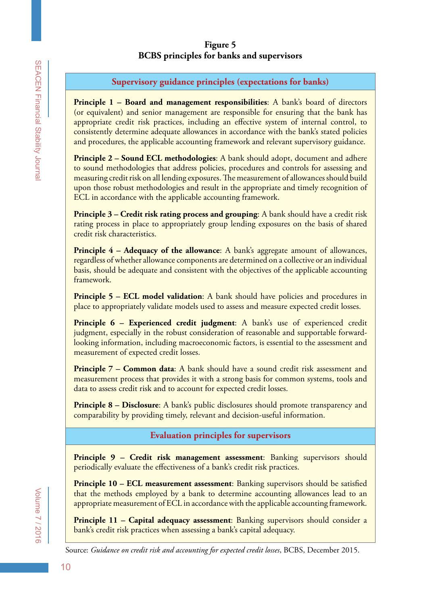## **Figure 5 BCBS principles for banks and supervisors**

**Supervisory guidance principles (expectations for banks)**

**Principle 1 – Board and management responsibilities:** A bank's board of directors (or equivalent) and senior management are responsible for ensuring that the bank has appropriate credit risk practices, including an effective system of internal control, to consistently determine adequate allowances in accordance with the bank's stated policies and procedures, the applicable accounting framework and relevant supervisory guidance.

**Principle 2 – Sound ECL methodologies**: A bank should adopt, document and adhere to sound methodologies that address policies, procedures and controls for assessing and measuring credit risk on all lending exposures. The measurement of allowances should build upon those robust methodologies and result in the appropriate and timely recognition of ECL in accordance with the applicable accounting framework.

**Principle 3 – Credit risk rating process and grouping:** A bank should have a credit risk rating process in place to appropriately group lending exposures on the basis of shared credit risk characteristics.

**Principle 4 – Adequacy of the allowance:** A bank's aggregate amount of allowances, regardless of whether allowance components are determined on a collective or an individual basis, should be adequate and consistent with the objectives of the applicable accounting framework.

**Principle 5 – ECL model validation:** A bank should have policies and procedures in place to appropriately validate models used to assess and measure expected credit losses.

**Principle 6 – Experienced credit judgment:** A bank's use of experienced credit judgment, especially in the robust consideration of reasonable and supportable forwardlooking information, including macroeconomic factors, is essential to the assessment and measurement of expected credit losses.

**Principle 7 – Common data:** A bank should have a sound credit risk assessment and measurement process that provides it with a strong basis for common systems, tools and data to assess credit risk and to account for expected credit losses.

**Principle 8 – Disclosure**: A bank's public disclosures should promote transparency and comparability by providing timely, relevant and decision-useful information.

# **Evaluation principles for supervisors**

**Principle 9 – Credit risk management assessment**: Banking supervisors should periodically evaluate the effectiveness of a bank's credit risk practices.

**Principle 10 – ECL measurement assessment**: Banking supervisors should be satisfied that the methods employed by a bank to determine accounting allowances lead to an appropriate measurement of ECL in accordance with the applicable accounting framework.

**Principle 11 – Capital adequacy assessment**: Banking supervisors should consider a bank's credit risk practices when assessing a bank's capital adequacy.

Source: *Guidance on credit risk and accounting for expected credit losses*, BCBS, December 2015.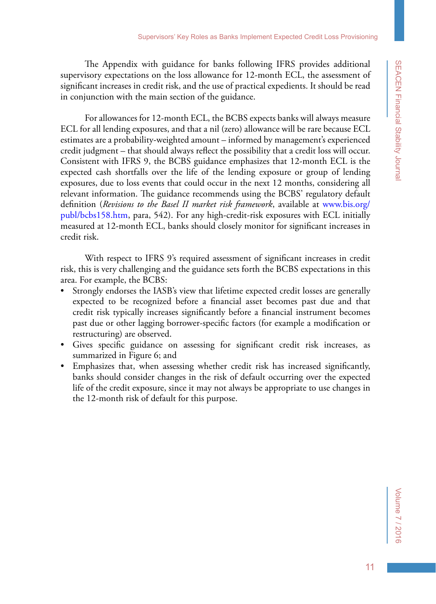The Appendix with guidance for banks following IFRS provides additional supervisory expectations on the loss allowance for 12-month ECL, the assessment of significant increases in credit risk, and the use of practical expedients. It should be read in conjunction with the main section of the guidance.

For allowances for 12-month ECL, the BCBS expects banks will always measure ECL for all lending exposures, and that a nil (zero) allowance will be rare because ECL estimates are a probability-weighted amount – informed by management's experienced credit judgment – that should always reflect the possibility that a credit loss will occur. Consistent with IFRS 9, the BCBS guidance emphasizes that 12-month ECL is the expected cash shortfalls over the life of the lending exposure or group of lending exposures, due to loss events that could occur in the next 12 months, considering all relevant information. The guidance recommends using the BCBS' regulatory default definition (*Revisions to the Basel II market risk framework*, available at [www.bis.org/](www.bis.org/publ/bcbs158.htm) [publ/bcbs158.htm,](www.bis.org/publ/bcbs158.htm) para, 542). For any high-credit-risk exposures with ECL initially measured at 12-month ECL, banks should closely monitor for significant increases in credit risk.

With respect to IFRS 9's required assessment of significant increases in credit risk, this is very challenging and the guidance sets forth the BCBS expectations in this area. For example, the BCBS:

- Strongly endorses the IASB's view that lifetime expected credit losses are generally expected to be recognized before a financial asset becomes past due and that credit risk typically increases significantly before a financial instrument becomes past due or other lagging borrower-specific factors (for example a modification or restructuring) are observed.
- Gives specific guidance on assessing for significant credit risk increases, as summarized in Figure 6; and
- • Emphasizes that, when assessing whether credit risk has increased significantly, banks should consider changes in the risk of default occurring over the expected life of the credit exposure, since it may not always be appropriate to use changes in the 12-month risk of default for this purpose.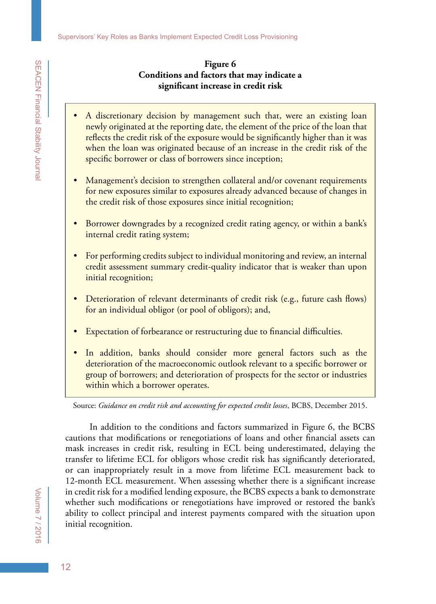### **Figure 6 Conditions and factors that may indicate a significant increase in credit risk**

- A discretionary decision by management such that, were an existing loan newly originated at the reporting date, the element of the price of the loan that reflects the credit risk of the exposure would be significantly higher than it was when the loan was originated because of an increase in the credit risk of the specific borrower or class of borrowers since inception;
- Management's decision to strengthen collateral and/or covenant requirements for new exposures similar to exposures already advanced because of changes in the credit risk of those exposures since initial recognition;
- Borrower downgrades by a recognized credit rating agency, or within a bank's internal credit rating system;
- For performing credits subject to individual monitoring and review, an internal credit assessment summary credit-quality indicator that is weaker than upon initial recognition;
- Deterioration of relevant determinants of credit risk (e.g., future cash flows) for an individual obligor (or pool of obligors); and,
- **Expectation of forbearance or restructuring due to financial difficulties.**
- In addition, banks should consider more general factors such as the deterioration of the macroeconomic outlook relevant to a specific borrower or group of borrowers; and deterioration of prospects for the sector or industries within which a borrower operates.

Source: *Guidance on credit risk and accounting for expected credit losses*, BCBS, December 2015.

In addition to the conditions and factors summarized in Figure 6, the BCBS cautions that modifications or renegotiations of loans and other financial assets can mask increases in credit risk, resulting in ECL being underestimated, delaying the transfer to lifetime ECL for obligors whose credit risk has significantly deteriorated, or can inappropriately result in a move from lifetime ECL measurement back to 12-month ECL measurement. When assessing whether there is a significant increase in credit risk for a modified lending exposure, the BCBS expects a bank to demonstrate whether such modifications or renegotiations have improved or restored the bank's ability to collect principal and interest payments compared with the situation upon initial recognition.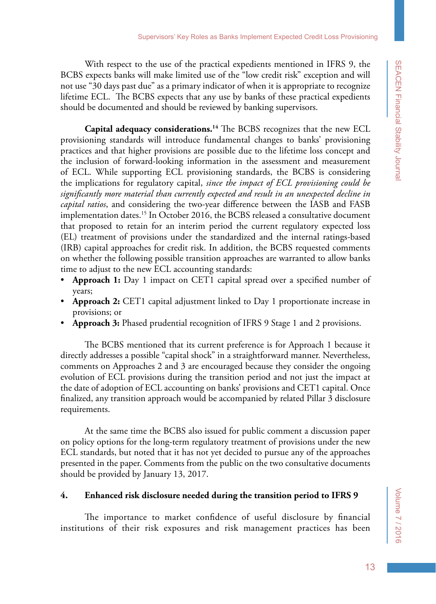With respect to the use of the practical expedients mentioned in IFRS 9, the BCBS expects banks will make limited use of the "low credit risk" exception and will not use "30 days past due" as a primary indicator of when it is appropriate to recognize lifetime ECL. The BCBS expects that any use by banks of these practical expedients should be documented and should be reviewed by banking supervisors.

**Capital adequacy considerations.14** The BCBS recognizes that the new ECL provisioning standards will introduce fundamental changes to banks' provisioning practices and that higher provisions are possible due to the lifetime loss concept and the inclusion of forward-looking information in the assessment and measurement of ECL. While supporting ECL provisioning standards, the BCBS is considering the implications for regulatory capital, *since the impact of ECL provisioning could be significantly more material than currently expected and result in an unexpected decline in capital ratios*, and considering the two-year difference between the IASB and FASB implementation dates.<sup>15</sup> In October 2016, the BCBS released a consultative document that proposed to retain for an interim period the current regulatory expected loss (EL) treatment of provisions under the standardized and the internal ratings-based (IRB) capital approaches for credit risk. In addition, the BCBS requested comments on whether the following possible transition approaches are warranted to allow banks time to adjust to the new ECL accounting standards:

- **Approach 1:** Day 1 impact on CET1 capital spread over a specified number of years;
- **Approach 2:** CET1 capital adjustment linked to Day 1 proportionate increase in provisions; or
- **Approach 3:** Phased prudential recognition of IFRS 9 Stage 1 and 2 provisions.

The BCBS mentioned that its current preference is for Approach 1 because it directly addresses a possible "capital shock" in a straightforward manner. Nevertheless, comments on Approaches 2 and 3 are encouraged because they consider the ongoing evolution of ECL provisions during the transition period and not just the impact at the date of adoption of ECL accounting on banks' provisions and CET1 capital. Once finalized, any transition approach would be accompanied by related Pillar 3 disclosure requirements.

At the same time the BCBS also issued for public comment a discussion paper on policy options for the long-term regulatory treatment of provisions under the new ECL standards, but noted that it has not yet decided to pursue any of the approaches presented in the paper. Comments from the public on the two consultative documents should be provided by January 13, 2017.

### **4. Enhanced risk disclosure needed during the transition period to IFRS 9**

The importance to market confidence of useful disclosure by financial institutions of their risk exposures and risk management practices has been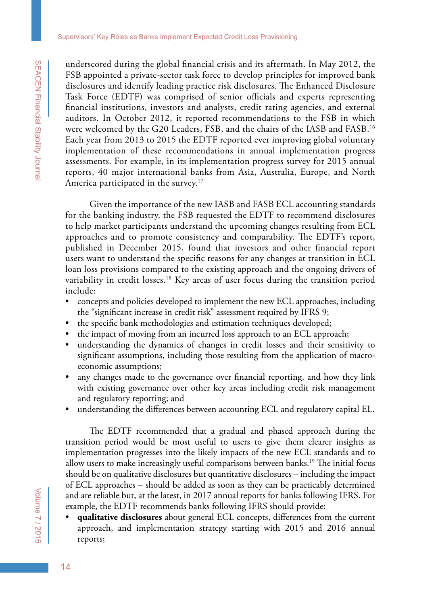underscored during the global financial crisis and its aftermath. In May 2012, the FSB appointed a private-sector task force to develop principles for improved bank disclosures and identify leading practice risk disclosures. The Enhanced Disclosure Task Force (EDTF) was comprised of senior officials and experts representing financial institutions, investors and analysts, credit rating agencies, and external auditors. In October 2012, it reported recommendations to the FSB in which were welcomed by the G20 Leaders, FSB, and the chairs of the IASB and FASB.16 Each year from 2013 to 2015 the EDTF reported ever improving global voluntary implementation of these recommendations in annual implementation progress assessments. For example, in its implementation progress survey for 2015 annual reports, 40 major international banks from Asia, Australia, Europe, and North America participated in the survey.<sup>17</sup>

Given the importance of the new IASB and FASB ECL accounting standards for the banking industry, the FSB requested the EDTF to recommend disclosures to help market participants understand the upcoming changes resulting from ECL approaches and to promote consistency and comparability. The EDTF's report, published in December 2015, found that investors and other financial report users want to understand the specific reasons for any changes at transition in ECL loan loss provisions compared to the existing approach and the ongoing drivers of variability in credit losses.<sup>18</sup> Key areas of user focus during the transition period include:

- concepts and policies developed to implement the new ECL approaches, including the "significant increase in credit risk" assessment required by IFRS 9;
- the specific bank methodologies and estimation techniques developed;
- the impact of moving from an incurred loss approach to an ECL approach;
- • understanding the dynamics of changes in credit losses and their sensitivity to significant assumptions, including those resulting from the application of macroeconomic assumptions;
- any changes made to the governance over financial reporting, and how they link with existing governance over other key areas including credit risk management and regulatory reporting; and
- understanding the differences between accounting ECL and regulatory capital EL.

The EDTF recommended that a gradual and phased approach during the transition period would be most useful to users to give them clearer insights as implementation progresses into the likely impacts of the new ECL standards and to allow users to make increasingly useful comparisons between banks.<sup>19</sup> The initial focus should be on qualitative disclosures but quantitative disclosures – including the impact of ECL approaches – should be added as soon as they can be practicably determined and are reliable but, at the latest, in 2017 annual reports for banks following IFRS. For example, the EDTF recommends banks following IFRS should provide:

• **qualitative disclosures** about general ECL concepts, differences from the current approach, and implementation strategy starting with 2015 and 2016 annual reports;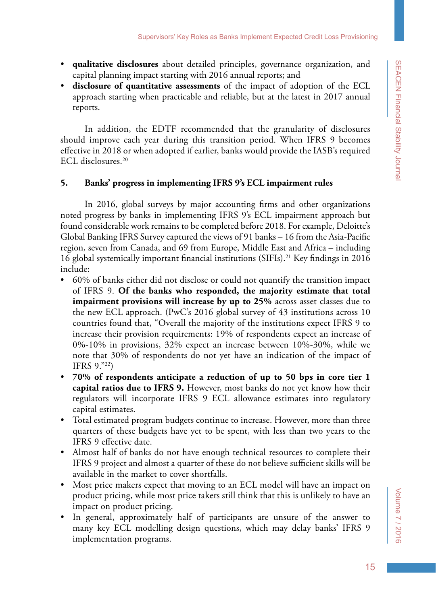- • **qualitative disclosures** about detailed principles, governance organization, and capital planning impact starting with 2016 annual reports; and
- • **disclosure of quantitative assessments** of the impact of adoption of the ECL approach starting when practicable and reliable, but at the latest in 2017 annual reports.

In addition, the EDTF recommended that the granularity of disclosures should improve each year during this transition period. When IFRS 9 becomes effective in 2018 or when adopted if earlier, banks would provide the IASB's required ECL disclosures.20

### **5. Banks' progress in implementing IFRS 9's ECL impairment rules**

In 2016, global surveys by major accounting firms and other organizations noted progress by banks in implementing IFRS 9's ECL impairment approach but found considerable work remains to be completed before 2018. For example, Deloitte's Global Banking IFRS Survey captured the views of 91 banks – 16 from the Asia-Pacific region, seven from Canada, and 69 from Europe, Middle East and Africa – including 16 global systemically important financial institutions  $(SIFIs).<sup>21</sup>$  Key findings in 2016 include:

- • 60% of banks either did not disclose or could not quantify the transition impact of IFRS 9. **Of the banks who responded, the majority estimate that total impairment provisions will increase by up to 25%** across asset classes due to the new ECL approach. (PwC's 2016 global survey of 43 institutions across 10 countries found that, "Overall the majority of the institutions expect IFRS 9 to increase their provision requirements: 19% of respondents expect an increase of 0%-10% in provisions, 32% expect an increase between 10%-30%, while we note that 30% of respondents do not yet have an indication of the impact of IFRS 9."22)
- • **70% of respondents anticipate a reduction of up to 50 bps in core tier 1 capital ratios due to IFRS 9.** However, most banks do not yet know how their regulators will incorporate IFRS 9 ECL allowance estimates into regulatory capital estimates.
- Total estimated program budgets continue to increase. However, more than three quarters of these budgets have yet to be spent, with less than two years to the IFRS 9 effective date.
- Almost half of banks do not have enough technical resources to complete their IFRS 9 project and almost a quarter of these do not believe sufficient skills will be available in the market to cover shortfalls.
- • Most price makers expect that moving to an ECL model will have an impact on product pricing, while most price takers still think that this is unlikely to have an impact on product pricing.
- • In general, approximately half of participants are unsure of the answer to many key ECL modelling design questions, which may delay banks' IFRS 9 implementation programs.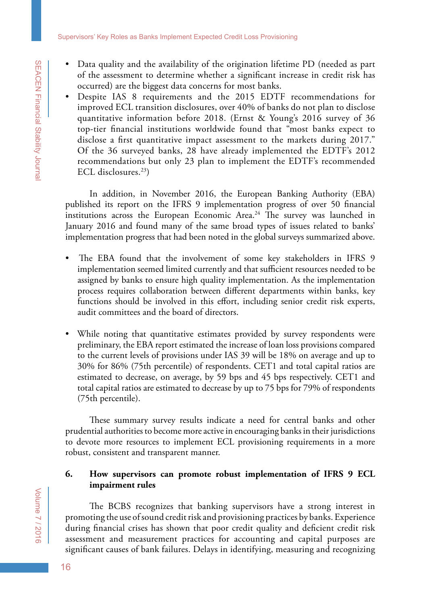- Data quality and the availability of the origination lifetime PD (needed as part of the assessment to determine whether a significant increase in credit risk has occurred) are the biggest data concerns for most banks.
- • Despite IAS 8 requirements and the 2015 EDTF recommendations for improved ECL transition disclosures, over 40% of banks do not plan to disclose quantitative information before 2018. (Ernst & Young's 2016 survey of 36 top-tier financial institutions worldwide found that "most banks expect to disclose a first quantitative impact assessment to the markets during 2017." Of the 36 surveyed banks, 28 have already implemented the EDTF's 2012 recommendations but only 23 plan to implement the EDTF's recommended ECL disclosures.<sup>23</sup>)

In addition, in November 2016, the European Banking Authority (EBA) published its report on the IFRS 9 implementation progress of over 50 financial institutions across the European Economic Area.<sup>24</sup> The survey was launched in January 2016 and found many of the same broad types of issues related to banks' implementation progress that had been noted in the global surveys summarized above.

- The EBA found that the involvement of some key stakeholders in IFRS 9 implementation seemed limited currently and that sufficient resources needed to be assigned by banks to ensure high quality implementation. As the implementation process requires collaboration between different departments within banks, key functions should be involved in this effort, including senior credit risk experts, audit committees and the board of directors.
- While noting that quantitative estimates provided by survey respondents were preliminary, the EBA report estimated the increase of loan loss provisions compared to the current levels of provisions under IAS 39 will be 18% on average and up to 30% for 86% (75th percentile) of respondents. CET1 and total capital ratios are estimated to decrease, on average, by 59 bps and 45 bps respectively. CET1 and total capital ratios are estimated to decrease by up to 75 bps for 79% of respondents (75th percentile).

These summary survey results indicate a need for central banks and other prudential authorities to become more active in encouraging banks in their jurisdictions to devote more resources to implement ECL provisioning requirements in a more robust, consistent and transparent manner.

### **6. How supervisors can promote robust implementation of IFRS 9 ECL impairment rules**

The BCBS recognizes that banking supervisors have a strong interest in promoting the use of sound credit risk and provisioning practices by banks. Experience during financial crises has shown that poor credit quality and deficient credit risk assessment and measurement practices for accounting and capital purposes are significant causes of bank failures. Delays in identifying, measuring and recognizing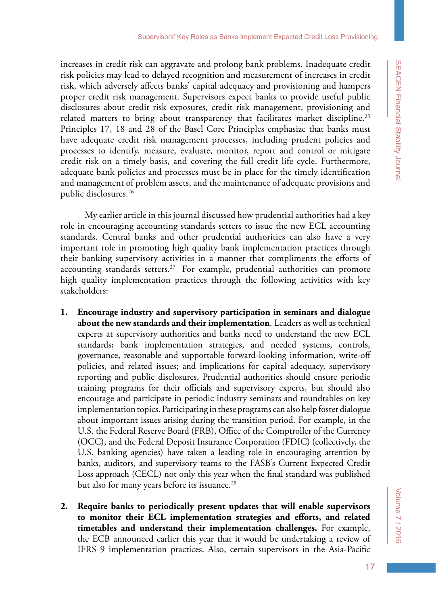increases in credit risk can aggravate and prolong bank problems. Inadequate credit risk policies may lead to delayed recognition and measurement of increases in credit risk, which adversely affects banks' capital adequacy and provisioning and hampers proper credit risk management. Supervisors expect banks to provide useful public disclosures about credit risk exposures, credit risk management, provisioning and related matters to bring about transparency that facilitates market discipline.<sup>25</sup> Principles 17, 18 and 28 of the Basel Core Principles emphasize that banks must have adequate credit risk management processes, including prudent policies and processes to identify, measure, evaluate, monitor, report and control or mitigate credit risk on a timely basis, and covering the full credit life cycle. Furthermore, adequate bank policies and processes must be in place for the timely identification and management of problem assets, and the maintenance of adequate provisions and public disclosures.<sup>26</sup>

My earlier article in this journal discussed how prudential authorities had a key role in encouraging accounting standards setters to issue the new ECL accounting standards. Central banks and other prudential authorities can also have a very important role in promoting high quality bank implementation practices through their banking supervisory activities in a manner that compliments the efforts of accounting standards setters.<sup>27</sup> For example, prudential authorities can promote high quality implementation practices through the following activities with key stakeholders:

- **1. Encourage industry and supervisory participation in seminars and dialogue about the new standards and their implementation**. Leaders as well as technical experts at supervisory authorities and banks need to understand the new ECL standards; bank implementation strategies, and needed systems, controls, governance, reasonable and supportable forward-looking information, write-off policies, and related issues; and implications for capital adequacy, supervisory reporting and public disclosures. Prudential authorities should ensure periodic training programs for their officials and supervisory experts, but should also encourage and participate in periodic industry seminars and roundtables on key implementation topics. Participating in these programs can also help foster dialogue about important issues arising during the transition period. For example, in the U.S. the Federal Reserve Board (FRB), Office of the Comptroller of the Currency (OCC), and the Federal Deposit Insurance Corporation (FDIC) (collectively, the U.S. banking agencies) have taken a leading role in encouraging attention by banks, auditors, and supervisory teams to the FASB's Current Expected Credit Loss approach (CECL) not only this year when the final standard was published but also for many years before its issuance.<sup>28</sup>
- **2. Require banks to periodically present updates that will enable supervisors to monitor their ECL implementation strategies and efforts, and related timetables and understand their implementation challenges.** For example, the ECB announced earlier this year that it would be undertaking a review of IFRS 9 implementation practices. Also, certain supervisors in the Asia-Pacific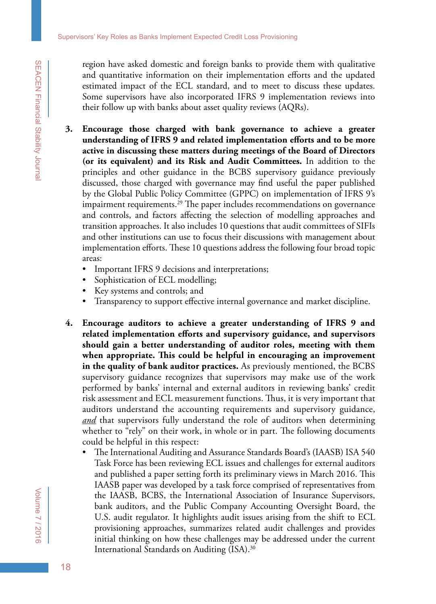region have asked domestic and foreign banks to provide them with qualitative and quantitative information on their implementation efforts and the updated estimated impact of the ECL standard, and to meet to discuss these updates. Some supervisors have also incorporated IFRS 9 implementation reviews into their follow up with banks about asset quality reviews (AQRs).

- **3. Encourage those charged with bank governance to achieve a greater understanding of IFRS 9 and related implementation efforts and to be more active in discussing these matters during meetings of the Board of Directors (or its equivalent) and its Risk and Audit Committees.** In addition to the principles and other guidance in the BCBS supervisory guidance previously discussed, those charged with governance may find useful the paper published by the Global Public Policy Committee (GPPC) on implementation of IFRS 9's impairment requirements.<sup>29</sup> The paper includes recommendations on governance and controls, and factors affecting the selection of modelling approaches and transition approaches. It also includes 10 questions that audit committees of SIFIs and other institutions can use to focus their discussions with management about implementation efforts. These 10 questions address the following four broad topic areas:
	- Important IFRS 9 decisions and interpretations;
	- Sophistication of ECL modelling;
	- • Key systems and controls; and
	- Transparency to support effective internal governance and market discipline.
- **4. Encourage auditors to achieve a greater understanding of IFRS 9 and related implementation efforts and supervisory guidance, and supervisors should gain a better understanding of auditor roles, meeting with them when appropriate. This could be helpful in encouraging an improvement in the quality of bank auditor practices.** As previously mentioned, the BCBS supervisory guidance recognizes that supervisors may make use of the work performed by banks' internal and external auditors in reviewing banks' credit risk assessment and ECL measurement functions. Thus, it is very important that auditors understand the accounting requirements and supervisory guidance, *and* that supervisors fully understand the role of auditors when determining whether to "rely" on their work, in whole or in part. The following documents could be helpful in this respect:
	- The International Auditing and Assurance Standards Board's (IAASB) ISA 540 Task Force has been reviewing ECL issues and challenges for external auditors and published a paper setting forth its preliminary views in March 2016. This IAASB paper was developed by a task force comprised of representatives from the IAASB, BCBS, the International Association of Insurance Supervisors, bank auditors, and the Public Company Accounting Oversight Board, the U.S. audit regulator. It highlights audit issues arising from the shift to ECL provisioning approaches, summarizes related audit challenges and provides initial thinking on how these challenges may be addressed under the current International Standards on Auditing (ISA).30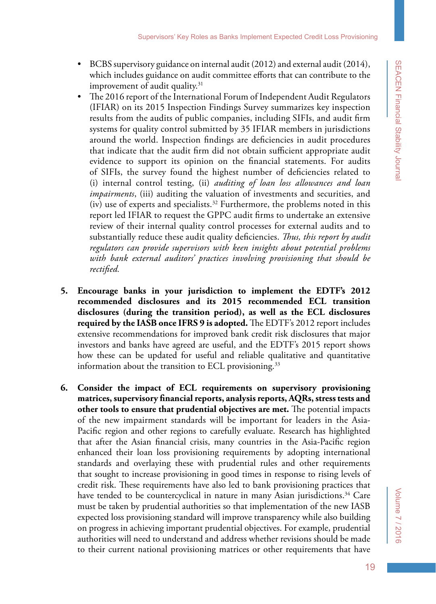- BCBS supervisory guidance on internal audit  $(2012)$  and external audit  $(2014)$ , which includes guidance on audit committee efforts that can contribute to the improvement of audit quality. $31$
- The 2016 report of the International Forum of Independent Audit Regulators (IFIAR) on its 2015 Inspection Findings Survey summarizes key inspection results from the audits of public companies, including SIFIs, and audit firm systems for quality control submitted by 35 IFIAR members in jurisdictions around the world. Inspection findings are deficiencies in audit procedures that indicate that the audit firm did not obtain sufficient appropriate audit evidence to support its opinion on the financial statements. For audits of SIFIs, the survey found the highest number of deficiencies related to (i) internal control testing, (ii) *auditing of loan loss allowances and loan impairments*, (iii) auditing the valuation of investments and securities, and (iv) use of experts and specialists.<sup>32</sup> Furthermore, the problems noted in this report led IFIAR to request the GPPC audit firms to undertake an extensive review of their internal quality control processes for external audits and to substantially reduce these audit quality deficiencies. *Thus, this report by audit regulators can provide supervisors with keen insights about potential problems with bank external auditors' practices involving provisioning that should be rectified.*
- **5. Encourage banks in your jurisdiction to implement the EDTF's 2012 recommended disclosures and its 2015 recommended ECL transition disclosures (during the transition period), as well as the ECL disclosures required by the IASB once IFRS 9 is adopted.** The EDTF's 2012 report includes extensive recommendations for improved bank credit risk disclosures that major investors and banks have agreed are useful, and the EDTF's 2015 report shows how these can be updated for useful and reliable qualitative and quantitative information about the transition to ECL provisioning.<sup>33</sup>
- **6. Consider the impact of ECL requirements on supervisory provisioning matrices, supervisory financial reports, analysis reports, AQRs, stress tests and other tools to ensure that prudential objectives are met.** The potential impacts of the new impairment standards will be important for leaders in the Asia-Pacific region and other regions to carefully evaluate. Research has highlighted that after the Asian financial crisis, many countries in the Asia-Pacific region enhanced their loan loss provisioning requirements by adopting international standards and overlaying these with prudential rules and other requirements that sought to increase provisioning in good times in response to rising levels of credit risk. These requirements have also led to bank provisioning practices that have tended to be countercyclical in nature in many Asian jurisdictions.<sup>34</sup> Care must be taken by prudential authorities so that implementation of the new IASB expected loss provisioning standard will improve transparency while also building on progress in achieving important prudential objectives. For example, prudential authorities will need to understand and address whether revisions should be made to their current national provisioning matrices or other requirements that have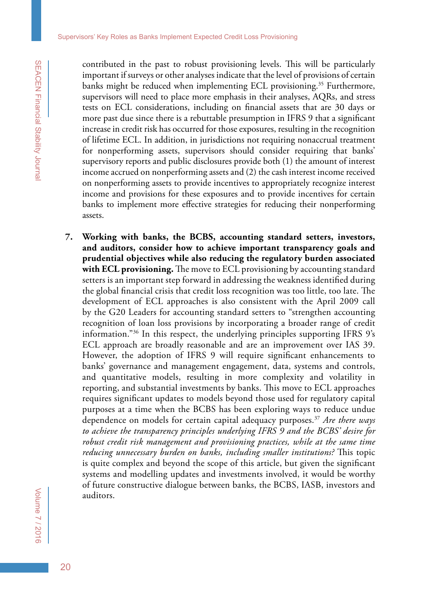contributed in the past to robust provisioning levels. This will be particularly important if surveys or other analyses indicate that the level of provisions of certain banks might be reduced when implementing ECL provisioning.<sup>35</sup> Furthermore, supervisors will need to place more emphasis in their analyses, AQRs, and stress tests on ECL considerations, including on financial assets that are 30 days or more past due since there is a rebuttable presumption in IFRS 9 that a significant increase in credit risk has occurred for those exposures, resulting in the recognition of lifetime ECL. In addition, in jurisdictions not requiring nonaccrual treatment for nonperforming assets, supervisors should consider requiring that banks' supervisory reports and public disclosures provide both (1) the amount of interest income accrued on nonperforming assets and (2) the cash interest income received on nonperforming assets to provide incentives to appropriately recognize interest income and provisions for these exposures and to provide incentives for certain banks to implement more effective strategies for reducing their nonperforming assets.

**7. Working with banks, the BCBS, accounting standard setters, investors, and auditors, consider how to achieve important transparency goals and prudential objectives while also reducing the regulatory burden associated with ECL provisioning.** The move to ECL provisioning by accounting standard setters is an important step forward in addressing the weakness identified during the global financial crisis that credit loss recognition was too little, too late. The development of ECL approaches is also consistent with the April 2009 call by the G20 Leaders for accounting standard setters to "strengthen accounting recognition of loan loss provisions by incorporating a broader range of credit information."36 In this respect, the underlying principles supporting IFRS 9's ECL approach are broadly reasonable and are an improvement over IAS 39. However, the adoption of IFRS 9 will require significant enhancements to banks' governance and management engagement, data, systems and controls, and quantitative models, resulting in more complexity and volatility in reporting, and substantial investments by banks. This move to ECL approaches requires significant updates to models beyond those used for regulatory capital purposes at a time when the BCBS has been exploring ways to reduce undue dependence on models for certain capital adequacy purposes.37 *Are there ways to achieve the transparency principles underlying IFRS 9 and the BCBS' desire for*  robust credit risk management and provisioning practices, while at the same time *reducing unnecessary burden on banks, including smaller institutions?* This topic is quite complex and beyond the scope of this article, but given the significant systems and modelling updates and investments involved, it would be worthy of future constructive dialogue between banks, the BCBS, IASB, investors and auditors.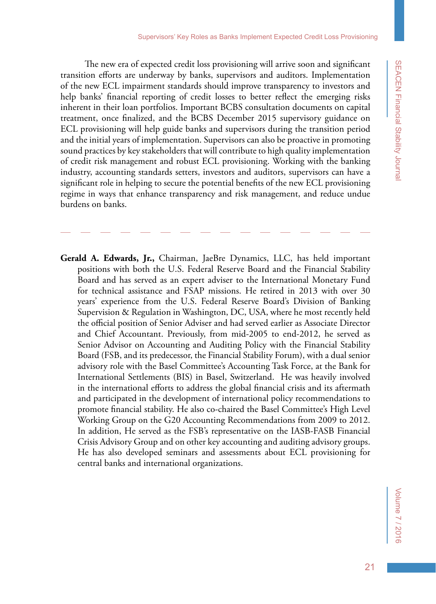The new era of expected credit loss provisioning will arrive soon and significant transition efforts are underway by banks, supervisors and auditors. Implementation of the new ECL impairment standards should improve transparency to investors and help banks' financial reporting of credit losses to better reflect the emerging risks inherent in their loan portfolios. Important BCBS consultation documents on capital treatment, once finalized, and the BCBS December 2015 supervisory guidance on ECL provisioning will help guide banks and supervisors during the transition period and the initial years of implementation. Supervisors can also be proactive in promoting sound practices by key stakeholders that will contribute to high quality implementation of credit risk management and robust ECL provisioning. Working with the banking industry, accounting standards setters, investors and auditors, supervisors can have a significant role in helping to secure the potential benefits of the new ECL provisioning regime in ways that enhance transparency and risk management, and reduce undue burdens on banks.

**Gerald A. Edwards, Jr.,** Chairman, JaeBre Dynamics, LLC, has held important positions with both the U.S. Federal Reserve Board and the Financial Stability Board and has served as an expert adviser to the International Monetary Fund for technical assistance and FSAP missions. He retired in 2013 with over 30 years' experience from the U.S. Federal Reserve Board's Division of Banking Supervision & Regulation in Washington, DC, USA, where he most recently held the official position of Senior Adviser and had served earlier as Associate Director and Chief Accountant. Previously, from mid-2005 to end-2012, he served as Senior Advisor on Accounting and Auditing Policy with the Financial Stability Board (FSB, and its predecessor, the Financial Stability Forum), with a dual senior advisory role with the Basel Committee's Accounting Task Force, at the Bank for International Settlements (BIS) in Basel, Switzerland. He was heavily involved in the international efforts to address the global financial crisis and its aftermath and participated in the development of international policy recommendations to promote financial stability. He also co-chaired the Basel Committee's High Level Working Group on the G20 Accounting Recommendations from 2009 to 2012. In addition, He served as the FSB's representative on the IASB-FASB Financial Crisis Advisory Group and on other key accounting and auditing advisory groups. He has also developed seminars and assessments about ECL provisioning for central banks and international organizations.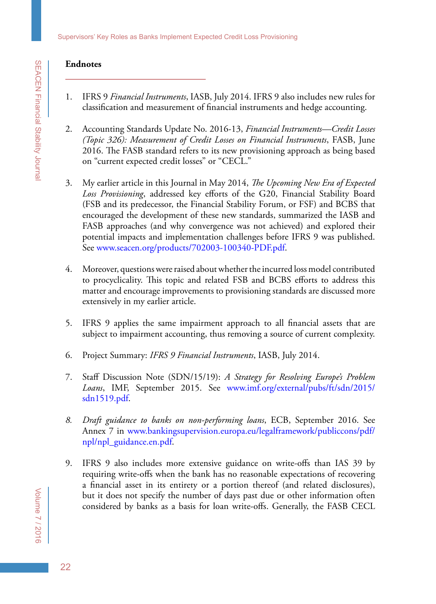### **Endnotes**

- 1. IFRS 9 *Financial Instruments*, IASB, July 2014. IFRS 9 also includes new rules for classification and measurement of financial instruments and hedge accounting.
- 2. Accounting Standards Update No. 2016-13, *Financial Instruments—Credit Losses (Topic 326): Measurement of Credit Losses on Financial Instruments*, FASB, June 2016. The FASB standard refers to its new provisioning approach as being based on "current expected credit losses" or "CECL."
- 3. My earlier article in this Journal in May 2014, *The Upcoming New Era of Expected Loss Provisioning*, addressed key efforts of the G20, Financial Stability Board (FSB and its predecessor, the Financial Stability Forum, or FSF) and BCBS that encouraged the development of these new standards, summarized the IASB and FASB approaches (and why convergence was not achieved) and explored their potential impacts and implementation challenges before IFRS 9 was published. See [www.seacen.org/products/702003-100340-PDF.pdf.](http://www.seacen.org/products/702003-100340-PDF.pdf)
- 4. Moreover, questions were raised about whether the incurred loss model contributed to procyclicality. This topic and related FSB and BCBS efforts to address this matter and encourage improvements to provisioning standards are discussed more extensively in my earlier article.
- 5. IFRS 9 applies the same impairment approach to all financial assets that are subject to impairment accounting, thus removing a source of current complexity.
- 6. Project Summary: *IFRS 9 Financial Instruments*, IASB, July 2014.
- 7. Staff Discussion Note (SDN/15/19): *A Strategy for Resolving Europe's Problem Loans*, IMF, September 2015. See [www.imf.org/external/pubs/ft/sdn/2015/](http://www.imf.org/external/pubs/ft/sdn/2015/sdn1519.pdf) [sdn1519.pdf](http://www.imf.org/external/pubs/ft/sdn/2015/sdn1519.pdf).
- *8. Draft guidance to banks on non-performing loans*, ECB, September 2016. See Annex 7 in [www.bankingsupervision.europa.eu/legalframework/publiccons/pdf/](http://www.bankingsupervision.europa.eu/legalframework/publiccons/pdf/npl/npl_guidance.en.pdf) [npl/npl\\_guidance.en.pdf](http://www.bankingsupervision.europa.eu/legalframework/publiccons/pdf/npl/npl_guidance.en.pdf).
- 9. IFRS 9 also includes more extensive guidance on write-offs than IAS 39 by requiring write-offs when the bank has no reasonable expectations of recovering a financial asset in its entirety or a portion thereof (and related disclosures), but it does not specify the number of days past due or other information often considered by banks as a basis for loan write-offs. Generally, the FASB CECL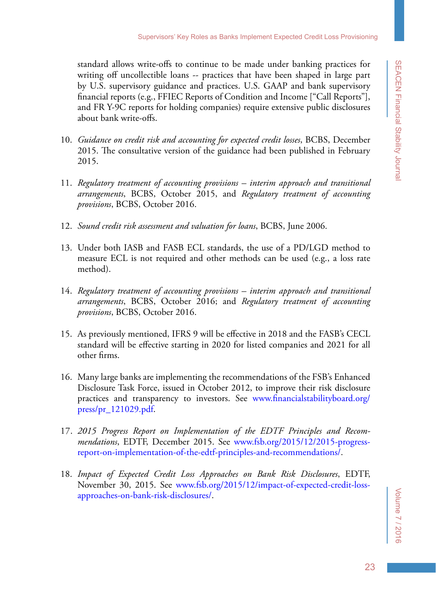standard allows write-offs to continue to be made under banking practices for writing off uncollectible loans -- practices that have been shaped in large part by U.S. supervisory guidance and practices. U.S. GAAP and bank supervisory financial reports (e.g., FFIEC Reports of Condition and Income ["Call Reports"], and FR Y-9C reports for holding companies) require extensive public disclosures about bank write-offs.

- 10. *Guidance on credit risk and accounting for expected credit losses*, BCBS, December 2015. The consultative version of the guidance had been published in February 2015.
- 11. *Regulatory treatment of accounting provisions interim approach and transitional arrangements*, BCBS, October 2015, and *Regulatory treatment of accounting provisions*, BCBS, October 2016.
- 12. *Sound credit risk assessment and valuation for loans*, BCBS, June 2006.
- 13. Under both IASB and FASB ECL standards, the use of a PD/LGD method to measure ECL is not required and other methods can be used (e.g., a loss rate method).
- 14. *Regulatory treatment of accounting provisions interim approach and transitional arrangements*, BCBS, October 2016; and *Regulatory treatment of accounting provisions*, BCBS, October 2016.
- 15. As previously mentioned, IFRS 9 will be effective in 2018 and the FASB's CECL standard will be effective starting in 2020 for listed companies and 2021 for all other firms.
- 16. Many large banks are implementing the recommendations of the FSB's Enhanced Disclosure Task Force, issued in October 2012, to improve their risk disclosure practices and transparency to investors. See [www.financialstabilityboard.org/](http://www.financialstabilityboard.org/press/pr_121029.pdf) [press/pr\\_121029.pdf.](http://www.financialstabilityboard.org/press/pr_121029.pdf)
- 17. *2015 Progress Report on Implementation of the EDTF Principles and Recommendations*, EDTF, December 2015. See [www.fsb.org/2015/12/2015-progress](http://www.fsb.org/2015/12/2015-progress-report-on-implementation-of-the-edtf-principles-and-recommendations/)[report-on-implementation-of-the-edtf-principles-and-recommendations/](http://www.fsb.org/2015/12/2015-progress-report-on-implementation-of-the-edtf-principles-and-recommendations/).
- 18. *Impact of Expected Credit Loss Approaches on Bank Risk Disclosures*, EDTF, November 30, 2015. See [www.fsb.org/2015/12/impact-of-expected-credit-loss](http://www.fsb.org/2015/12/impact-of-expected-credit-loss-approaches-on-bank-risk-disclosures/)[approaches-on-bank-risk-disclosures/.](http://www.fsb.org/2015/12/impact-of-expected-credit-loss-approaches-on-bank-risk-disclosures/)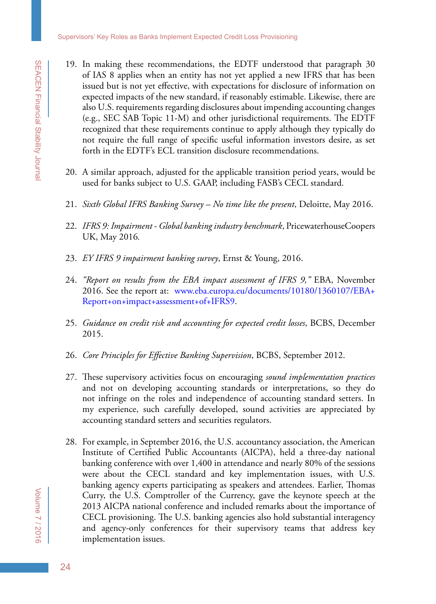- 19. In making these recommendations, the EDTF understood that paragraph 30 of IAS 8 applies when an entity has not yet applied a new IFRS that has been issued but is not yet effective, with expectations for disclosure of information on expected impacts of the new standard, if reasonably estimable. Likewise, there are also U.S. requirements regarding disclosures about impending accounting changes (e.g., SEC SAB Topic 11-M) and other jurisdictional requirements. The EDTF recognized that these requirements continue to apply although they typically do not require the full range of specific useful information investors desire, as set forth in the EDTF's ECL transition disclosure recommendations.
- 20. A similar approach, adjusted for the applicable transition period years, would be used for banks subject to U.S. GAAP, including FASB's CECL standard.
- 21. *Sixth Global IFRS Banking Survey No time like the present*, Deloitte, May 2016.
- 22. *IFRS 9: Impairment Global banking industry benchmark*, PricewaterhouseCoopers UK, May 2016*.*
- 23. *EY IFRS 9 impairment banking survey*, Ernst & Young, 2016.
- 24. *"Report on results from the EBA impact assessment of IFRS 9,"* EBA, November 2016. See the report at: [www.eba.europa.eu/documents/10180/1360107/EBA+](www.eba.europa.eu/documents/10180/1360107/EBA%2BReport%2Bon%2Bimpact%2Bassessment%2Bof%2BIFRS9) [Report+on+impact+assessment+of+IFRS9.](www.eba.europa.eu/documents/10180/1360107/EBA%2BReport%2Bon%2Bimpact%2Bassessment%2Bof%2BIFRS9)
- 25. *Guidance on credit risk and accounting for expected credit losses*, BCBS, December 2015.
- 26. *Core Principles for Effective Banking Supervision*, BCBS, September 2012.
- 27. These supervisory activities focus on encouraging *sound implementation practices* and not on developing accounting standards or interpretations, so they do not infringe on the roles and independence of accounting standard setters. In my experience, such carefully developed, sound activities are appreciated by accounting standard setters and securities regulators.
- 28. For example, in September 2016, the U.S. accountancy association, the American Institute of Certified Public Accountants (AICPA), held a three-day national banking conference with over 1,400 in attendance and nearly 80% of the sessions were about the CECL standard and key implementation issues, with U.S. banking agency experts participating as speakers and attendees. Earlier, Thomas Curry, the U.S. Comptroller of the Currency, gave the keynote speech at the 2013 AICPA national conference and included remarks about the importance of CECL provisioning. The U.S. banking agencies also hold substantial interagency and agency-only conferences for their supervisory teams that address key implementation issues.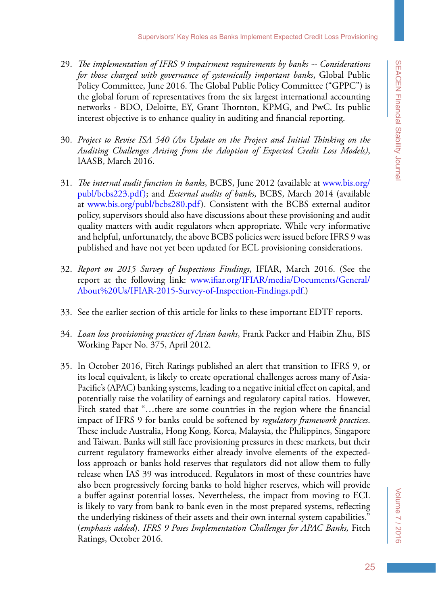- 29. *The implementation of IFRS 9 impairment requirements by banks -- Considerations for those charged with governance of systemically important banks*, Global Public Policy Committee, June 2016. The Global Public Policy Committee ("GPPC") is the global forum of representatives from the six largest international accounting networks - BDO, Deloitte, EY, Grant Thornton, KPMG, and PwC. Its public interest objective is to enhance quality in auditing and financial reporting.
- 30. *Project to Revise ISA 540 (An Update on the Project and Initial Thinking on the Auditing Challenges Arising from the Adoption of Expected Credit Loss Models)*, IAASB, March 2016.
- 31. *The internal audit function in banks*, BCBS, June 2012 (available at [www.bis.org/](http://www.bis.org/publ/bcbs223.pdf)) [publ/bcbs223.pdf\)](http://www.bis.org/publ/bcbs223.pdf)); and *External audits of banks*, BCBS, March 2014 (available at [www.bis.org/publ/bcbs280.pdf](http://www.bis.org/publ/bcbs280.pdf)). Consistent with the BCBS external auditor policy, supervisors should also have discussions about these provisioning and audit quality matters with audit regulators when appropriate. While very informative and helpful, unfortunately, the above BCBS policies were issued before IFRS 9 was published and have not yet been updated for ECL provisioning considerations.
- 32. *Report on 2015 Survey of Inspections Findings*, IFIAR, March 2016. (See the report at the following link: [www.ifiar.org/IFIAR/media/Documents/General/](http://www.ifiar.org/IFIAR/media/Documents/General/About%20Us/IFIAR-2015-Survey-of-Inspection-Findings.pdf) [About%20Us/IFIAR-2015-Survey-of-Inspection-Findings.pdf.](http://www.ifiar.org/IFIAR/media/Documents/General/About%20Us/IFIAR-2015-Survey-of-Inspection-Findings.pdf))
- 33. See the earlier section of this article for links to these important EDTF reports.
- 34. *Loan loss provisioning practices of Asian banks*, Frank Packer and Haibin Zhu, BIS Working Paper No. 375, April 2012.
- 35. In October 2016, Fitch Ratings published an alert that transition to IFRS 9, or its local equivalent, is likely to create operational challenges across many of Asia-Pacific's (APAC) banking systems, leading to a negative initial effect on capital, and potentially raise the volatility of earnings and regulatory capital ratios. However, Fitch stated that "…there are some countries in the region where the financial impact of IFRS 9 for banks could be softened by *regulatory framework practices*. These include Australia, Hong Kong, Korea, Malaysia, the Philippines, Singapore and Taiwan. Banks will still face provisioning pressures in these markets, but their current regulatory frameworks either already involve elements of the expectedloss approach or banks hold reserves that regulators did not allow them to fully release when IAS 39 was introduced. Regulators in most of these countries have also been progressively forcing banks to hold higher reserves, which will provide a buffer against potential losses. Nevertheless, the impact from moving to ECL is likely to vary from bank to bank even in the most prepared systems, reflecting the underlying riskiness of their assets and their own internal system capabilities." (*emphasis added*). *IFRS 9 Poses Implementation Challenges for APAC Banks,* Fitch Ratings, October 2016.